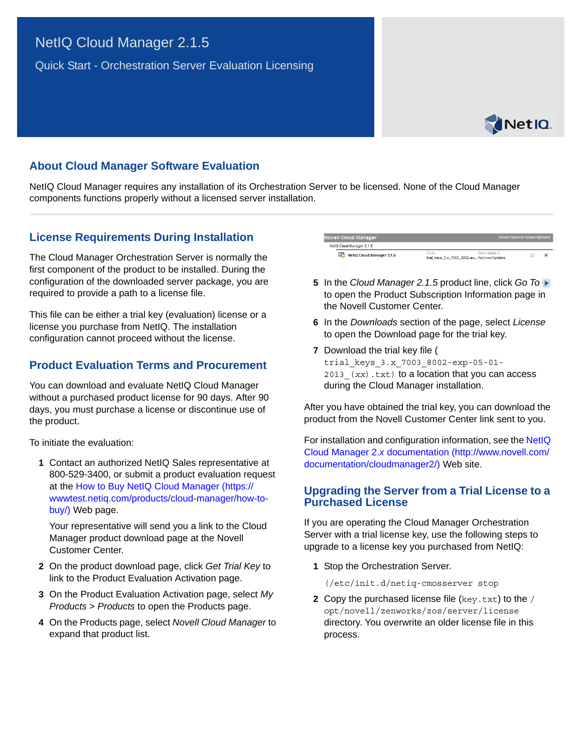# NetIQ Cloud Manager 2.1.5

Quick Start - Orchestration Server Evaluation Licensing



## **About Cloud Manager Software Evaluation**

NetIQ Cloud Manager requires any installation of its Orchestration Server to be licensed. None of the Cloud Manager components functions properly without a licensed server installation.

### **License Requirements During Installation**

The Cloud Manager Orchestration Server is normally the first component of the product to be installed. During the configuration of the downloaded server package, you are required to provide a path to a license file.

This file can be either a trial key (evaluation) license or a license you purchase from NetIQ. The installation configuration cannot proceed without the license.

### **Product Evaluation Terms and Procurement**

You can download and evaluate NetIQ Cloud Manager without a purchased product license for 90 days. After 90 days, you must purchase a license or discontinue use of the product.

To initiate the evaluation:

**1** Contact an authorized NetIQ Sales representative at 800-529-3400, or submit a product evaluation request at the [How to Buy NetIQ Cloud Manager](https://wwwtest.netiq.com/products/cloud-manager/how-to-buy/) (https:// wwwtest.netiq.com/products/cloud-manager/how-tobuy/) Web page.

Your representative will send you a link to the Cloud Manager product download page at the Novell Customer Center.

- **2** On the product download page, click *Get Trial Key* to link to the Product Evaluation Activation page.
- **3** On the Product Evaluation Activation page, select *My Products* > *Products* to open the Products page.
- **4** On the Products page, select *Novell Cloud Manager* to expand that product list.

| <b>Novell Cloud Manager</b>                      |                                                      | <b>Show Expired Subscriptions</b> |  |
|--------------------------------------------------|------------------------------------------------------|-----------------------------------|--|
| NetIQ Cloud Manager 2.1.5                        |                                                      |                                   |  |
| $\omega_{\rm{eff}}$<br>NetIQ Cloud Manager 2.1.5 | Code:<br>trial_keys_3.x_7003_8002-ex Patches/Updates | Downloads: I                      |  |

- **5** In the *Cloud Manager 2.1.5* product line, click *Go To* to open the Product Subscription Information page in the Novell Customer Center.
- **6** In the *Downloads* section of the page, select *License* to open the Download page for the trial key.
- **7** Download the trial key file ( trial\_keys\_3.x\_7003\_8002-exp-05-01- 2013 (xx).txt) to a location that you can access during the Cloud Manager installation.

After you have obtained the trial key, you can download the product from the Novell Customer Center link sent to you.

For installation and configuration information, see the [NetIQ](http://www.novell.com/documentation/cloudmanager2/)  [Cloud Manager 2.](http://www.novell.com/documentation/cloudmanager2/)*x* [documentation](http://www.novell.com/documentation/cloudmanager2/) (http://www.novell.com/ documentation/cloudmanager2/) Web site.

#### **Upgrading the Server from a Trial License to a Purchased License**

If you are operating the Cloud Manager Orchestration Server with a trial license key, use the following steps to upgrade to a license key you purchased from NetIQ:

**1** Stop the Orchestration Server.

(/etc/init.d/netiq-cmosserver stop

**2** Copy the purchased license file (key.txt) to the / opt/novell/zenworks/zos/server/license directory. You overwrite an older license file in this process.